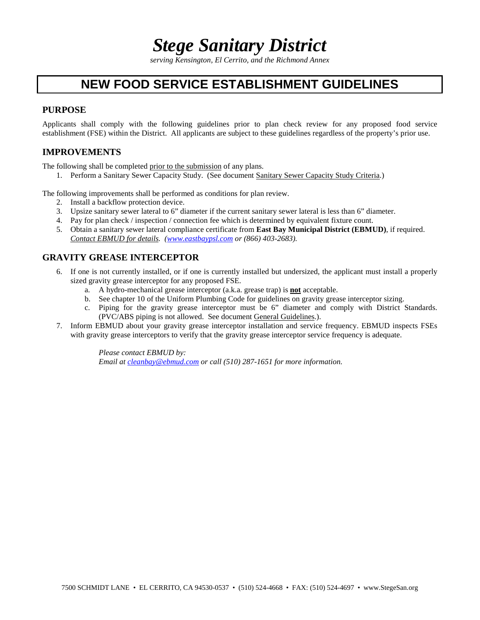## *Stege Sanitary District*

*serving Kensington, El Cerrito, and the Richmond Annex*

## **NEW FOOD SERVICE ESTABLISHMENT GUIDELINES**

## **PURPOSE**

Applicants shall comply with the following guidelines prior to plan check review for any proposed food service establishment (FSE) within the District. All applicants are subject to these guidelines regardless of the property's prior use.

## **IMPROVEMENTS**

The following shall be completed prior to the submission of any plans.

1. Perform a Sanitary Sewer Capacity Study. (See document Sanitary Sewer Capacity Study Criteria.)

The following improvements shall be performed as conditions for plan review.

- 2. Install a backflow protection device.
- 3. Upsize sanitary sewer lateral to 6" diameter if the current sanitary sewer lateral is less than 6" diameter.
- 4. Pay for plan check / inspection / connection fee which is determined by equivalent fixture count.
- 5. Obtain a sanitary sewer lateral compliance certificate from **East Bay Municipal District (EBMUD)**, if required. *Contact EBMUD for details. (www.eastbaypsl.com or (866) 403-2683).*

## **GRAVITY GREASE INTERCEPTOR**

- 6. If one is not currently installed, or if one is currently installed but undersized, the applicant must install a properly sized gravity grease interceptor for any proposed FSE.
	- a. A hydro-mechanical grease interceptor (a.k.a. grease trap) is **not** acceptable.
	- b. See chapter 10 of the Uniform Plumbing Code for guidelines on gravity grease interceptor sizing.
	- c. Piping for the gravity grease interceptor must be 6" diameter and comply with District Standards. (PVC/ABS piping is not allowed. See document General Guidelines.).
- 7. Inform EBMUD about your gravity grease interceptor installation and service frequency. EBMUD inspects FSEs with gravity grease interceptors to verify that the gravity grease interceptor service frequency is adequate.

*Please contact EBMUD by: Email at cleanbay@ebmud.com or call (510) 287-1651 for more information.*